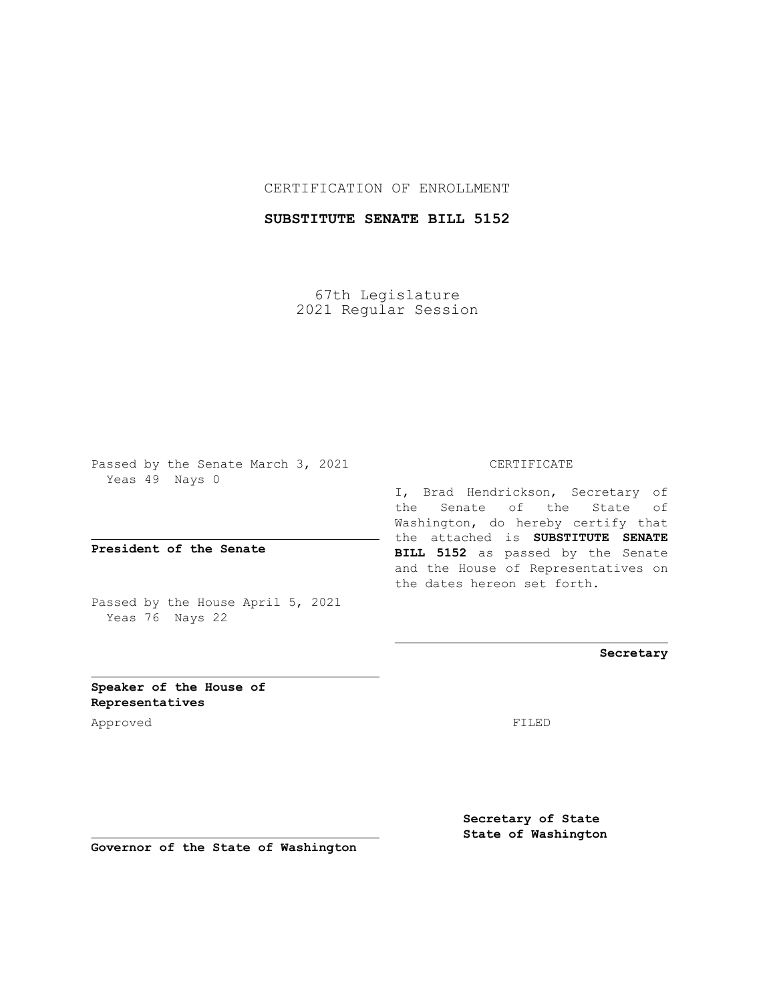## CERTIFICATION OF ENROLLMENT

## **SUBSTITUTE SENATE BILL 5152**

67th Legislature 2021 Regular Session

Passed by the Senate March 3, 2021 Yeas 49 Nays 0

**President of the Senate**

Passed by the House April 5, 2021 Yeas 76 Nays 22

CERTIFICATE

I, Brad Hendrickson, Secretary of the Senate of the State of Washington, do hereby certify that the attached is **SUBSTITUTE SENATE BILL 5152** as passed by the Senate and the House of Representatives on the dates hereon set forth.

**Secretary**

**Speaker of the House of Representatives**

Approved FILED

**Secretary of State State of Washington**

**Governor of the State of Washington**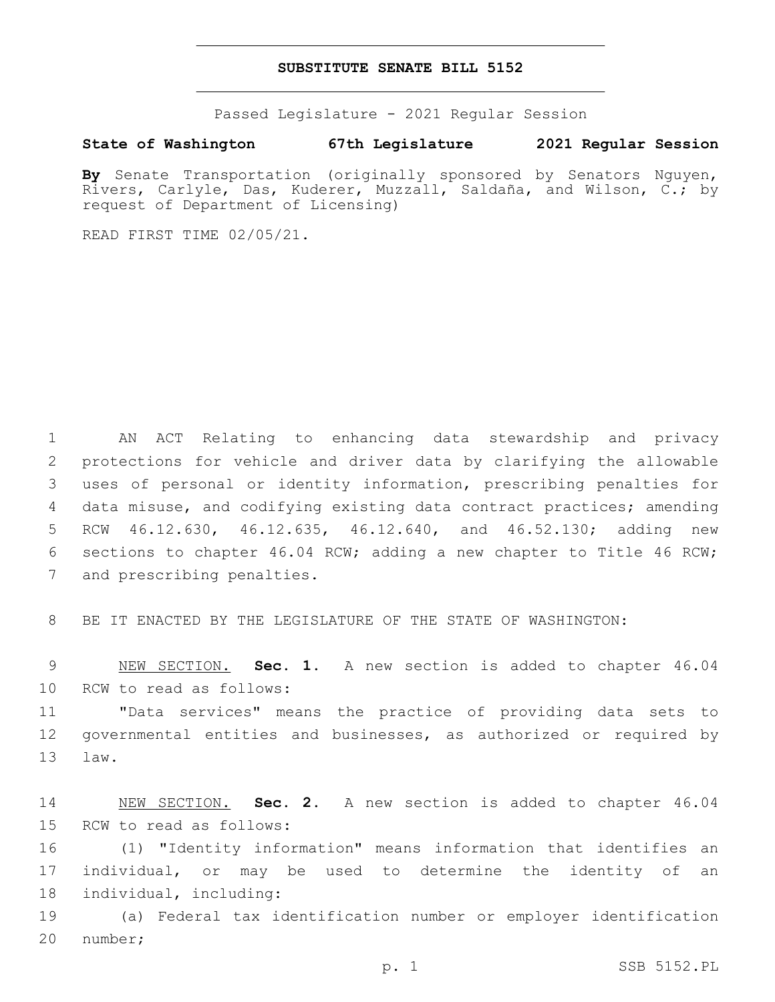## **SUBSTITUTE SENATE BILL 5152**

Passed Legislature - 2021 Regular Session

## **State of Washington 67th Legislature 2021 Regular Session**

**By** Senate Transportation (originally sponsored by Senators Nguyen, Rivers, Carlyle, Das, Kuderer, Muzzall, Saldaña, and Wilson, C.; by request of Department of Licensing)

READ FIRST TIME 02/05/21.

 AN ACT Relating to enhancing data stewardship and privacy protections for vehicle and driver data by clarifying the allowable uses of personal or identity information, prescribing penalties for data misuse, and codifying existing data contract practices; amending RCW 46.12.630, 46.12.635, 46.12.640, and 46.52.130; adding new sections to chapter 46.04 RCW; adding a new chapter to Title 46 RCW; 7 and prescribing penalties.

8 BE IT ENACTED BY THE LEGISLATURE OF THE STATE OF WASHINGTON:

9 NEW SECTION. **Sec. 1.** A new section is added to chapter 46.04 10 RCW to read as follows:

11 "Data services" means the practice of providing data sets to 12 governmental entities and businesses, as authorized or required by 13 law.

14 NEW SECTION. **Sec. 2.** A new section is added to chapter 46.04 15 RCW to read as follows:

16 (1) "Identity information" means information that identifies an 17 individual, or may be used to determine the identity of an 18 individual, including:

19 (a) Federal tax identification number or employer identification 20 number;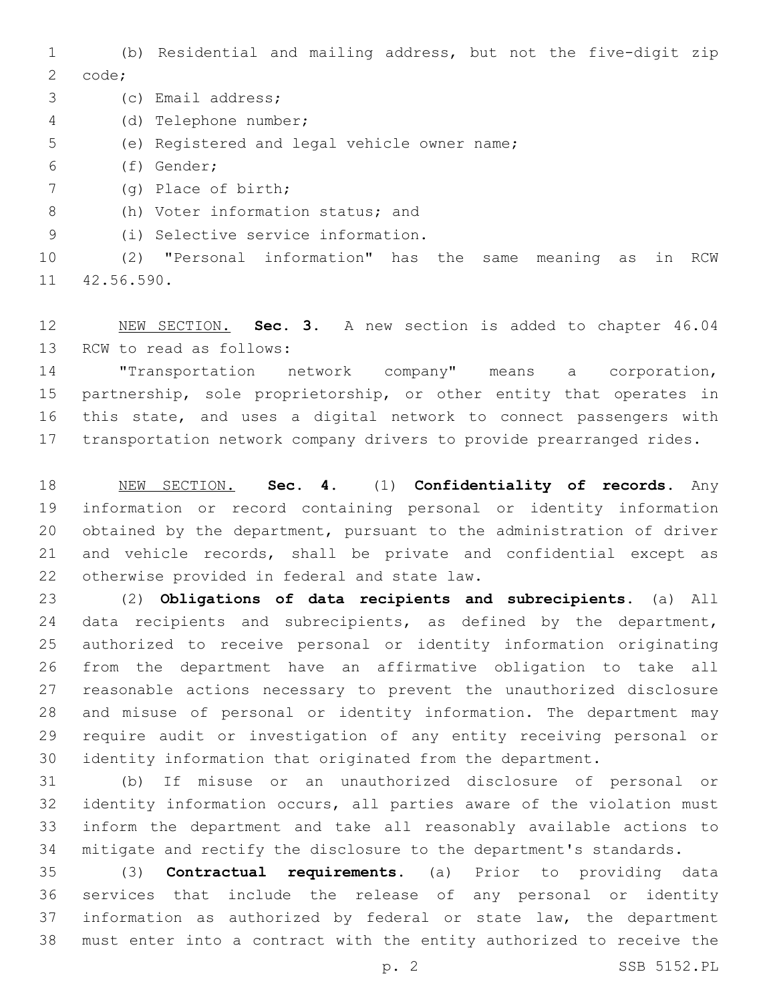(b) Residential and mailing address, but not the five-digit zip 2 code;

3 (c) Email address;

(d) Telephone number;4

- 5 (e) Registered and legal vehicle owner name;
- (f) Gender;6
- (g) Place of birth;7

8 (h) Voter information status; and

(i) Selective service information.9

 (2) "Personal information" has the same meaning as in RCW 11 42.56.590.

 NEW SECTION. **Sec. 3.** A new section is added to chapter 46.04 13 RCW to read as follows:

 "Transportation network company" means a corporation, partnership, sole proprietorship, or other entity that operates in this state, and uses a digital network to connect passengers with transportation network company drivers to provide prearranged rides.

 NEW SECTION. **Sec. 4.** (1) **Confidentiality of records.** Any information or record containing personal or identity information obtained by the department, pursuant to the administration of driver and vehicle records, shall be private and confidential except as otherwise provided in federal and state law.

 (2) **Obligations of data recipients and subrecipients.** (a) All 24 data recipients and subrecipients, as defined by the department, authorized to receive personal or identity information originating from the department have an affirmative obligation to take all reasonable actions necessary to prevent the unauthorized disclosure and misuse of personal or identity information. The department may require audit or investigation of any entity receiving personal or identity information that originated from the department.

 (b) If misuse or an unauthorized disclosure of personal or identity information occurs, all parties aware of the violation must inform the department and take all reasonably available actions to mitigate and rectify the disclosure to the department's standards.

 (3) **Contractual requirements.** (a) Prior to providing data services that include the release of any personal or identity information as authorized by federal or state law, the department must enter into a contract with the entity authorized to receive the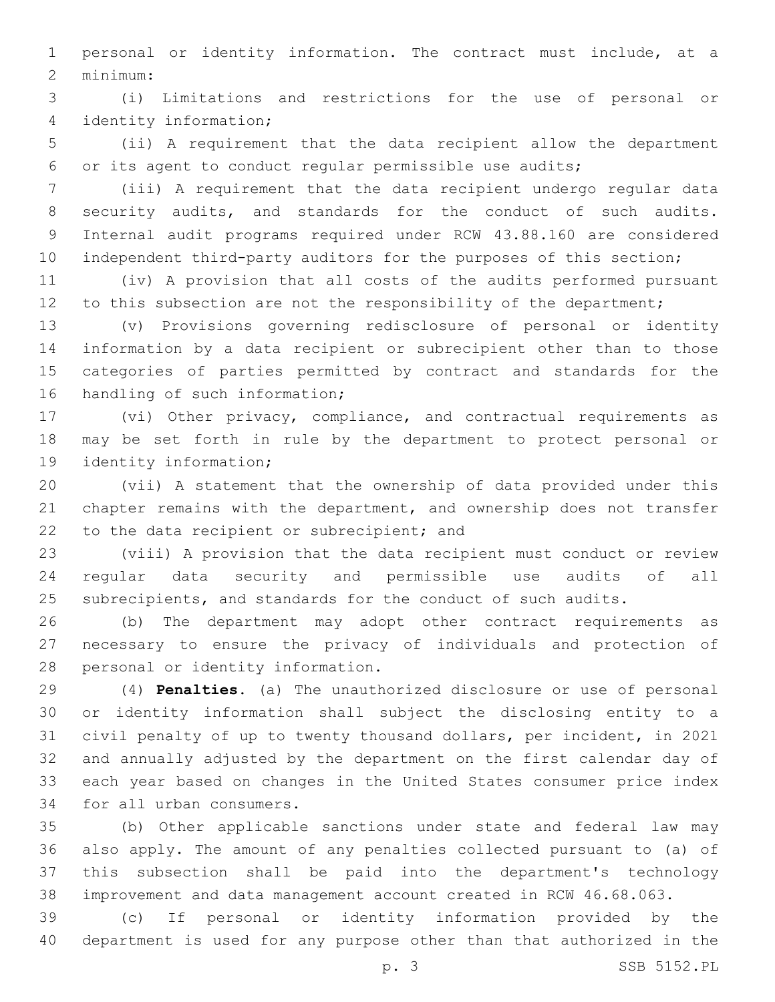personal or identity information. The contract must include, at a minimum:2

 (i) Limitations and restrictions for the use of personal or identity information;4

 (ii) A requirement that the data recipient allow the department or its agent to conduct regular permissible use audits;

 (iii) A requirement that the data recipient undergo regular data security audits, and standards for the conduct of such audits. Internal audit programs required under RCW 43.88.160 are considered 10 independent third-party auditors for the purposes of this section;

 (iv) A provision that all costs of the audits performed pursuant 12 to this subsection are not the responsibility of the department;

 (v) Provisions governing redisclosure of personal or identity information by a data recipient or subrecipient other than to those categories of parties permitted by contract and standards for the 16 handling of such information;

 (vi) Other privacy, compliance, and contractual requirements as may be set forth in rule by the department to protect personal or 19 identity information;

 (vii) A statement that the ownership of data provided under this chapter remains with the department, and ownership does not transfer 22 to the data recipient or subrecipient; and

 (viii) A provision that the data recipient must conduct or review regular data security and permissible use audits of all subrecipients, and standards for the conduct of such audits.

 (b) The department may adopt other contract requirements as necessary to ensure the privacy of individuals and protection of 28 personal or identity information.

 (4) **Penalties.** (a) The unauthorized disclosure or use of personal or identity information shall subject the disclosing entity to a civil penalty of up to twenty thousand dollars, per incident, in 2021 and annually adjusted by the department on the first calendar day of each year based on changes in the United States consumer price index 34 for all urban consumers.

 (b) Other applicable sanctions under state and federal law may also apply. The amount of any penalties collected pursuant to (a) of this subsection shall be paid into the department's technology improvement and data management account created in RCW 46.68.063.

 (c) If personal or identity information provided by the department is used for any purpose other than that authorized in the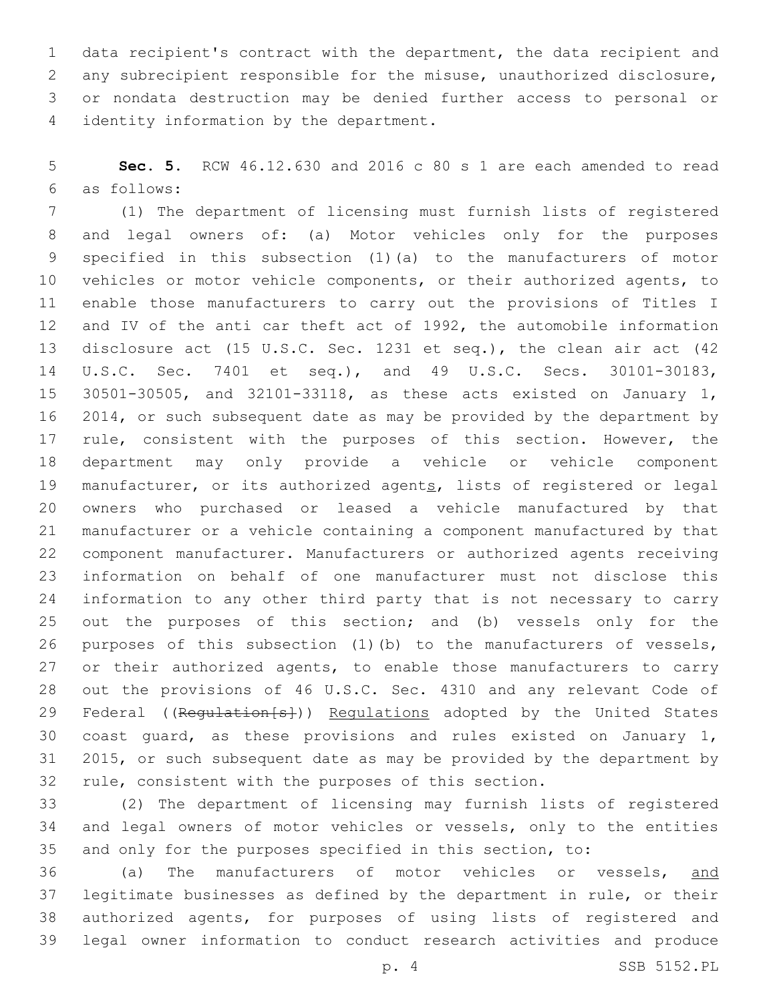data recipient's contract with the department, the data recipient and any subrecipient responsible for the misuse, unauthorized disclosure, or nondata destruction may be denied further access to personal or 4 identity information by the department.

 **Sec. 5.** RCW 46.12.630 and 2016 c 80 s 1 are each amended to read as follows:6

 (1) The department of licensing must furnish lists of registered and legal owners of: (a) Motor vehicles only for the purposes specified in this subsection (1)(a) to the manufacturers of motor vehicles or motor vehicle components, or their authorized agents, to enable those manufacturers to carry out the provisions of Titles I and IV of the anti car theft act of 1992, the automobile information disclosure act (15 U.S.C. Sec. 1231 et seq.), the clean air act (42 U.S.C. Sec. 7401 et seq.), and 49 U.S.C. Secs. 30101-30183, 30501-30505, and 32101-33118, as these acts existed on January 1, 2014, or such subsequent date as may be provided by the department by 17 rule, consistent with the purposes of this section. However, the department may only provide a vehicle or vehicle component 19 manufacturer, or its authorized agents, lists of registered or legal owners who purchased or leased a vehicle manufactured by that manufacturer or a vehicle containing a component manufactured by that component manufacturer. Manufacturers or authorized agents receiving information on behalf of one manufacturer must not disclose this information to any other third party that is not necessary to carry out the purposes of this section; and (b) vessels only for the purposes of this subsection (1)(b) to the manufacturers of vessels, 27 or their authorized agents, to enable those manufacturers to carry out the provisions of 46 U.S.C. Sec. 4310 and any relevant Code of 29 Federal ((Requlation[s])) Requlations adopted by the United States coast guard, as these provisions and rules existed on January 1, 2015, or such subsequent date as may be provided by the department by rule, consistent with the purposes of this section.

 (2) The department of licensing may furnish lists of registered and legal owners of motor vehicles or vessels, only to the entities and only for the purposes specified in this section, to:

 (a) The manufacturers of motor vehicles or vessels, and legitimate businesses as defined by the department in rule, or their authorized agents, for purposes of using lists of registered and legal owner information to conduct research activities and produce

p. 4 SSB 5152.PL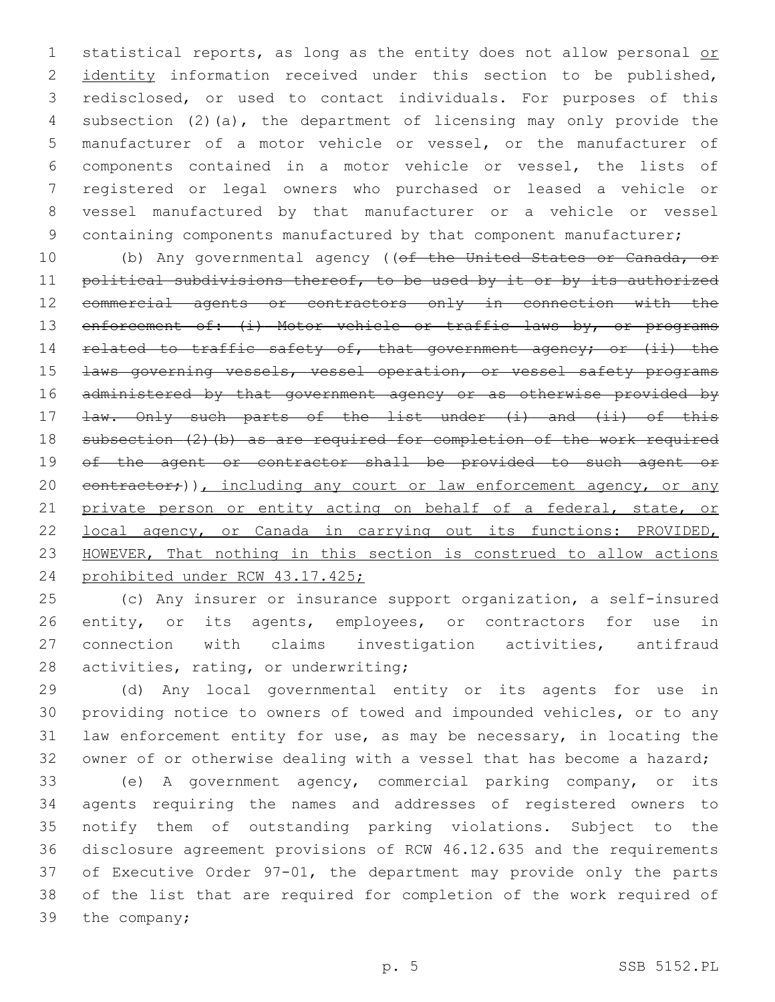1 statistical reports, as long as the entity does not allow personal or 2 identity information received under this section to be published, redisclosed, or used to contact individuals. For purposes of this subsection (2)(a), the department of licensing may only provide the manufacturer of a motor vehicle or vessel, or the manufacturer of components contained in a motor vehicle or vessel, the lists of registered or legal owners who purchased or leased a vehicle or vessel manufactured by that manufacturer or a vehicle or vessel 9 containing components manufactured by that component manufacturer;

10 (b) Any governmental agency ((of the United States or Canada, or 11 political subdivisions thereof, to be used by it or by its authorized commercial agents or contractors only in connection with the 13 enforcement of: (i) Motor vehicle or traffic laws by, or programs 14 related to traffic safety of, that government agency; or (ii) the **Laws governing vessels, vessel operation, or vessel safety programs**  administered by that government agency or as otherwise provided by 17 <del>law. Only such parts of the list under (i) and (ii) of this</del> 18 subsection (2)(b) as are required for completion of the work required of the agent or contractor shall be provided to such agent or 20 contractor;)), including any court or law enforcement agency, or any 21 private person or entity acting on behalf of a federal, state, or local agency, or Canada in carrying out its functions: PROVIDED, HOWEVER, That nothing in this section is construed to allow actions prohibited under RCW 43.17.425;

 (c) Any insurer or insurance support organization, a self-insured 26 entity, or its agents, employees, or contractors for use in connection with claims investigation activities, antifraud 28 activities, rating, or underwriting;

 (d) Any local governmental entity or its agents for use in providing notice to owners of towed and impounded vehicles, or to any law enforcement entity for use, as may be necessary, in locating the owner of or otherwise dealing with a vessel that has become a hazard;

 (e) A government agency, commercial parking company, or its agents requiring the names and addresses of registered owners to notify them of outstanding parking violations. Subject to the disclosure agreement provisions of RCW 46.12.635 and the requirements of Executive Order 97-01, the department may provide only the parts of the list that are required for completion of the work required of 39 the company;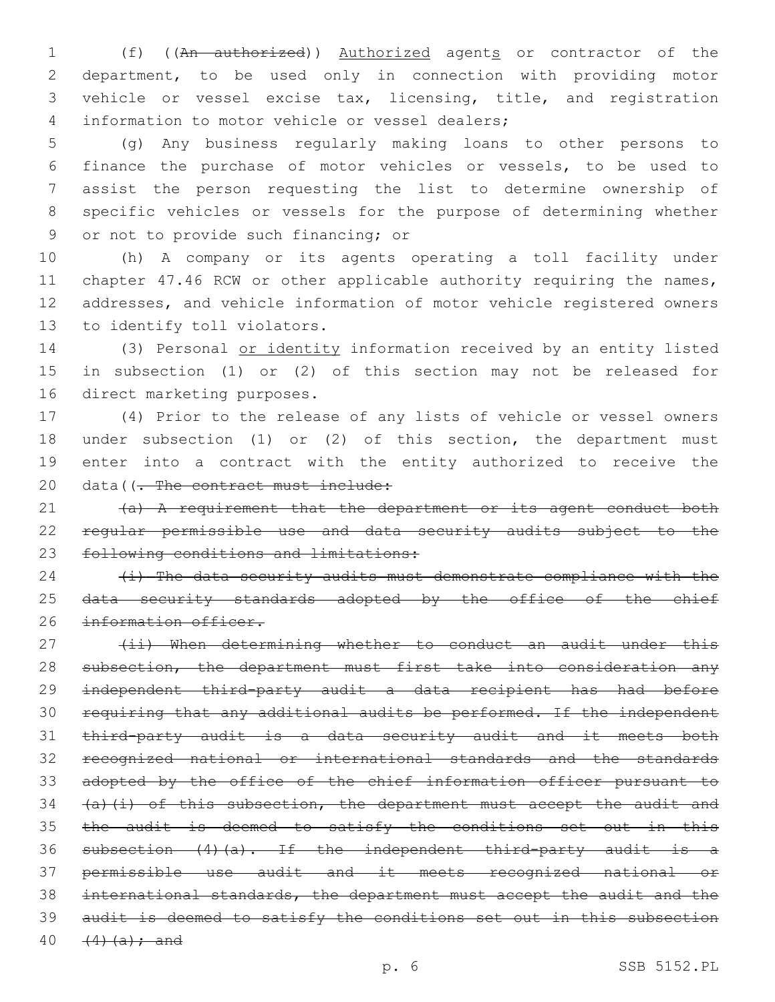1 (f) ((An authorized)) Authorized agents or contractor of the department, to be used only in connection with providing motor vehicle or vessel excise tax, licensing, title, and registration 4 information to motor vehicle or vessel dealers;

 (g) Any business regularly making loans to other persons to finance the purchase of motor vehicles or vessels, to be used to assist the person requesting the list to determine ownership of specific vehicles or vessels for the purpose of determining whether 9 or not to provide such financing; or

 (h) A company or its agents operating a toll facility under 11 chapter 47.46 RCW or other applicable authority requiring the names, addresses, and vehicle information of motor vehicle registered owners 13 to identify toll violators.

 (3) Personal or identity information received by an entity listed in subsection (1) or (2) of this section may not be released for 16 direct marketing purposes.

 (4) Prior to the release of any lists of vehicle or vessel owners under subsection (1) or (2) of this section, the department must enter into a contract with the entity authorized to receive the 20 data((<del>. The contract must include:</del>

21 (a) A requirement that the department or its agent conduct both regular permissible use and data security audits subject to the 23 following conditions and limitations:

  $\leftrightarrow$  The data security audits must demonstrate compliance with the 25 data security standards adopted by the office of the chief 26 information officer.

27 (ii) When determining whether to conduct an audit under this 28 subsection, the department must first take into consideration any independent third-party audit a data recipient has had before requiring that any additional audits be performed. If the independent third-party audit is a data security audit and it meets both recognized national or international standards and the standards adopted by the office of the chief information officer pursuant to  $(a)$   $(i)$  of this subsection, the department must accept the audit and 35 the audit is deemed to satisfy the conditions set out in this subsection (4)(a). If the independent third-party audit is a permissible use audit and it meets recognized national or international standards, the department must accept the audit and the audit is deemed to satisfy the conditions set out in this subsection  $(4)(a);$  and

p. 6 SSB 5152.PL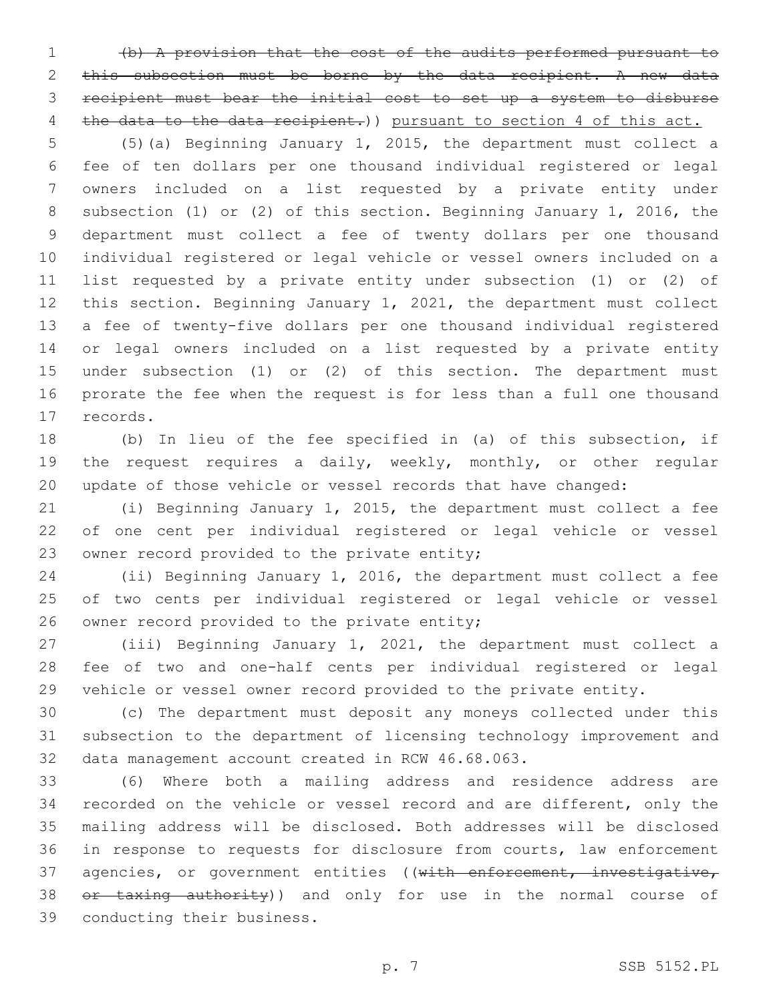(b) A provision that the cost of the audits performed pursuant to this subsection must be borne by the data recipient. A new data recipient must bear the initial cost to set up a system to disburse 4 the data to the data recipient.) pursuant to section 4 of this act.

 (5)(a) Beginning January 1, 2015, the department must collect a fee of ten dollars per one thousand individual registered or legal owners included on a list requested by a private entity under subsection (1) or (2) of this section. Beginning January 1, 2016, the department must collect a fee of twenty dollars per one thousand individual registered or legal vehicle or vessel owners included on a list requested by a private entity under subsection (1) or (2) of this section. Beginning January 1, 2021, the department must collect a fee of twenty-five dollars per one thousand individual registered or legal owners included on a list requested by a private entity under subsection (1) or (2) of this section. The department must prorate the fee when the request is for less than a full one thousand 17 records.

 (b) In lieu of the fee specified in (a) of this subsection, if the request requires a daily, weekly, monthly, or other regular update of those vehicle or vessel records that have changed:

 (i) Beginning January 1, 2015, the department must collect a fee of one cent per individual registered or legal vehicle or vessel 23 owner record provided to the private entity;

 (ii) Beginning January 1, 2016, the department must collect a fee of two cents per individual registered or legal vehicle or vessel 26 owner record provided to the private entity;

 (iii) Beginning January 1, 2021, the department must collect a fee of two and one-half cents per individual registered or legal vehicle or vessel owner record provided to the private entity.

 (c) The department must deposit any moneys collected under this subsection to the department of licensing technology improvement and 32 data management account created in RCW 46.68.063.

 (6) Where both a mailing address and residence address are recorded on the vehicle or vessel record and are different, only the mailing address will be disclosed. Both addresses will be disclosed in response to requests for disclosure from courts, law enforcement 37 agencies, or government entities ((with enforcement, investigative, 38 or taxing authority)) and only for use in the normal course of 39 conducting their business.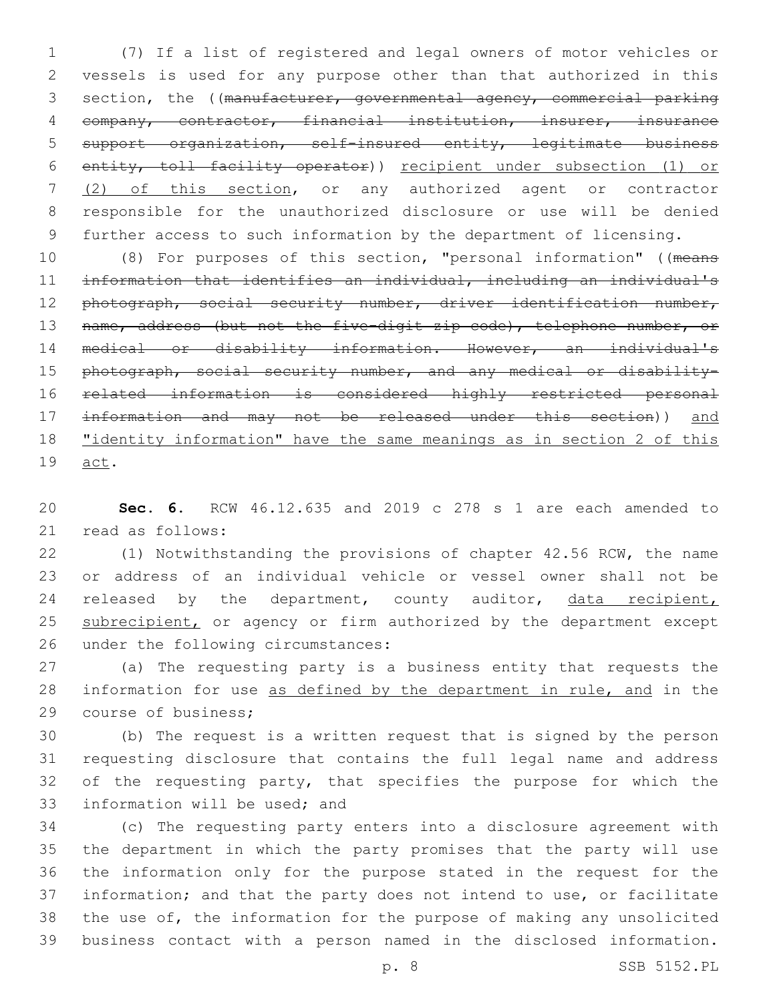(7) If a list of registered and legal owners of motor vehicles or vessels is used for any purpose other than that authorized in this 3 section, the ((manufacturer, governmental agency, commercial parking company, contractor, financial institution, insurer, insurance support organization, self-insured entity, legitimate business entity, toll facility operator)) recipient under subsection (1) or (2) of this section, or any authorized agent or contractor responsible for the unauthorized disclosure or use will be denied further access to such information by the department of licensing.

 (8) For purposes of this section, "personal information" ((means information that identifies an individual, including an individual's 12 photograph, social security number, driver identification number, 13 name, address (but not the five-digit zip code), telephone number, or medical or disability information. However, an individual's 15 photograph, social security number, and any medical or disability- related information is considered highly restricted personal information and may not be released under this section)) and "identity information" have the same meanings as in section 2 of this 19 <u>act</u>.

 **Sec. 6.** RCW 46.12.635 and 2019 c 278 s 1 are each amended to 21 read as follows:

 (1) Notwithstanding the provisions of chapter 42.56 RCW, the name or address of an individual vehicle or vessel owner shall not be 24 released by the department, county auditor, data recipient, 25 subrecipient, or agency or firm authorized by the department except 26 under the following circumstances:

 (a) The requesting party is a business entity that requests the information for use as defined by the department in rule, and in the 29 course of business;

 (b) The request is a written request that is signed by the person requesting disclosure that contains the full legal name and address 32 of the requesting party, that specifies the purpose for which the 33 information will be used; and

 (c) The requesting party enters into a disclosure agreement with the department in which the party promises that the party will use the information only for the purpose stated in the request for the information; and that the party does not intend to use, or facilitate the use of, the information for the purpose of making any unsolicited business contact with a person named in the disclosed information.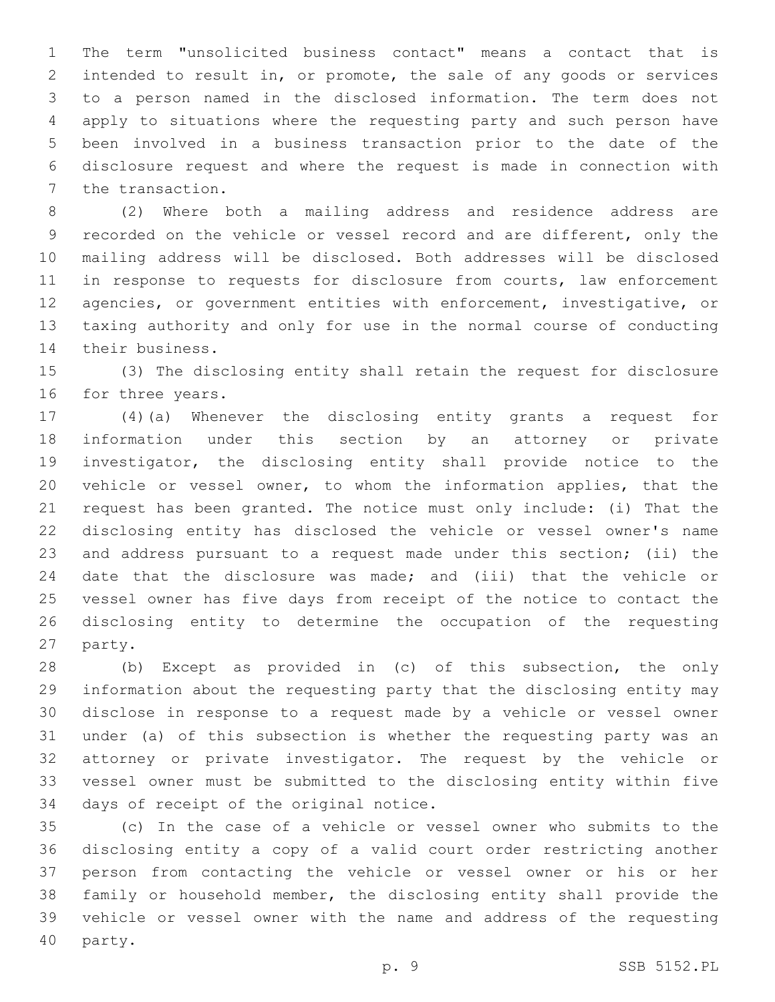The term "unsolicited business contact" means a contact that is intended to result in, or promote, the sale of any goods or services to a person named in the disclosed information. The term does not apply to situations where the requesting party and such person have been involved in a business transaction prior to the date of the disclosure request and where the request is made in connection with 7 the transaction.

 (2) Where both a mailing address and residence address are recorded on the vehicle or vessel record and are different, only the mailing address will be disclosed. Both addresses will be disclosed 11 in response to requests for disclosure from courts, law enforcement agencies, or government entities with enforcement, investigative, or taxing authority and only for use in the normal course of conducting 14 their business.

 (3) The disclosing entity shall retain the request for disclosure 16 for three years.

 (4)(a) Whenever the disclosing entity grants a request for information under this section by an attorney or private investigator, the disclosing entity shall provide notice to the vehicle or vessel owner, to whom the information applies, that the request has been granted. The notice must only include: (i) That the disclosing entity has disclosed the vehicle or vessel owner's name and address pursuant to a request made under this section; (ii) the date that the disclosure was made; and (iii) that the vehicle or vessel owner has five days from receipt of the notice to contact the disclosing entity to determine the occupation of the requesting 27 party.

 (b) Except as provided in (c) of this subsection, the only information about the requesting party that the disclosing entity may disclose in response to a request made by a vehicle or vessel owner under (a) of this subsection is whether the requesting party was an attorney or private investigator. The request by the vehicle or vessel owner must be submitted to the disclosing entity within five 34 days of receipt of the original notice.

 (c) In the case of a vehicle or vessel owner who submits to the disclosing entity a copy of a valid court order restricting another person from contacting the vehicle or vessel owner or his or her family or household member, the disclosing entity shall provide the vehicle or vessel owner with the name and address of the requesting 40 party.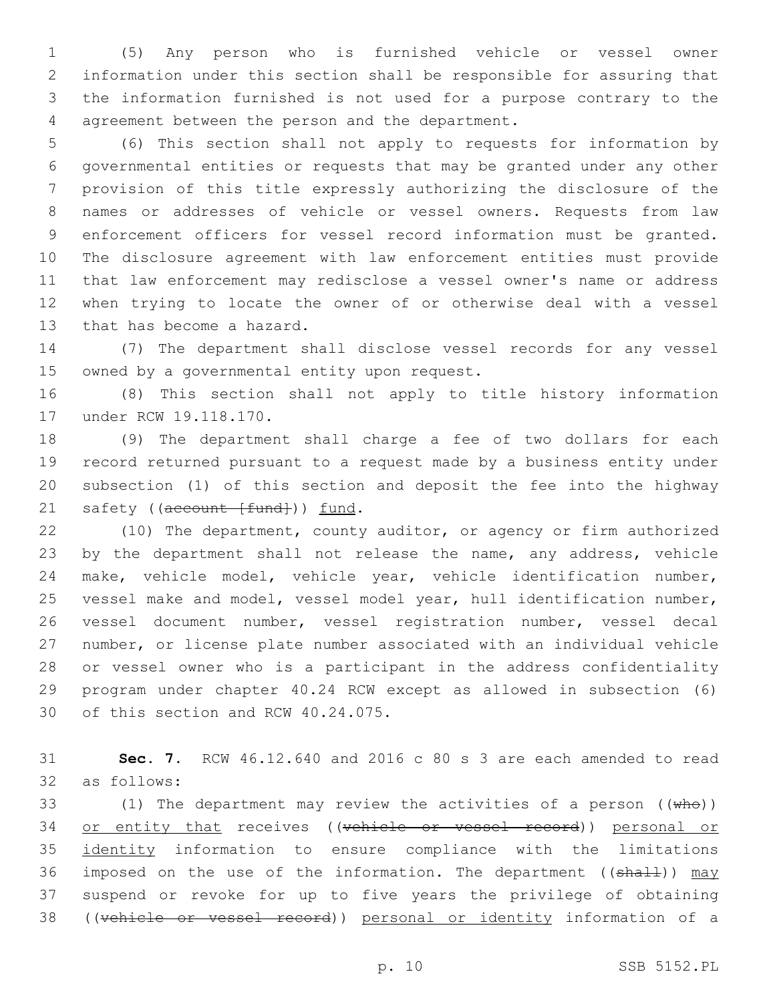(5) Any person who is furnished vehicle or vessel owner information under this section shall be responsible for assuring that the information furnished is not used for a purpose contrary to the 4 agreement between the person and the department.

 (6) This section shall not apply to requests for information by governmental entities or requests that may be granted under any other provision of this title expressly authorizing the disclosure of the names or addresses of vehicle or vessel owners. Requests from law enforcement officers for vessel record information must be granted. The disclosure agreement with law enforcement entities must provide that law enforcement may redisclose a vessel owner's name or address when trying to locate the owner of or otherwise deal with a vessel 13 that has become a hazard.

 (7) The department shall disclose vessel records for any vessel 15 owned by a governmental entity upon request.

 (8) This section shall not apply to title history information 17 under RCW 19.118.170.

 (9) The department shall charge a fee of two dollars for each record returned pursuant to a request made by a business entity under subsection (1) of this section and deposit the fee into the highway 21 safety ((account [fund])) fund.

 (10) The department, county auditor, or agency or firm authorized 23 by the department shall not release the name, any address, vehicle make, vehicle model, vehicle year, vehicle identification number, vessel make and model, vessel model year, hull identification number, vessel document number, vessel registration number, vessel decal number, or license plate number associated with an individual vehicle or vessel owner who is a participant in the address confidentiality program under chapter 40.24 RCW except as allowed in subsection (6) 30 of this section and RCW 40.24.075.

 **Sec. 7.** RCW 46.12.640 and 2016 c 80 s 3 are each amended to read as follows:32

33 (1) The department may review the activities of a person  $((\text{whe}))$ 34 or entity that receives ((vehicle or vessel record)) personal or identity information to ensure compliance with the limitations 36 imposed on the use of the information. The department ( $(\text{shall})$ ) may suspend or revoke for up to five years the privilege of obtaining ((vehicle or vessel record)) personal or identity information of a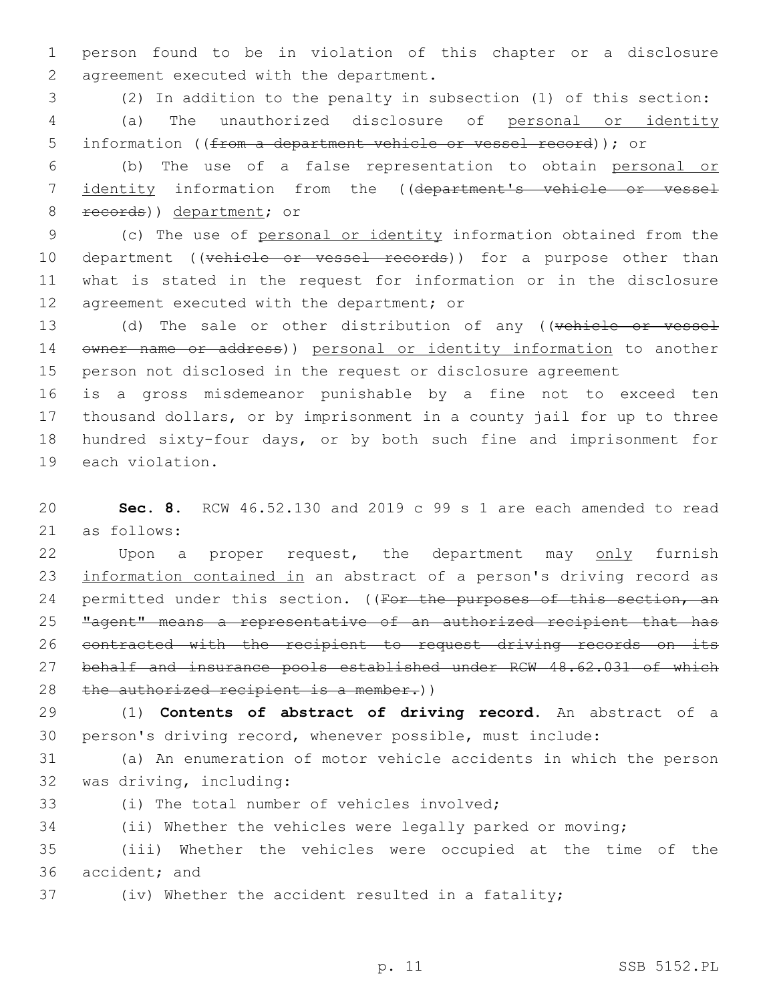1 person found to be in violation of this chapter or a disclosure 2 agreement executed with the department.

3 (2) In addition to the penalty in subsection (1) of this section: 4 (a) The unauthorized disclosure of personal or identity 5 information ((from a department vehicle or vessel record)); or

6 (b) The use of a false representation to obtain personal or 7 identity information from the ((department's vehicle or vessel 8 records)) department; or

9 (c) The use of personal or identity information obtained from the 10 department ((vehicle or vessel records)) for a purpose other than 11 what is stated in the request for information or in the disclosure 12 agreement executed with the department; or

13 (d) The sale or other distribution of any ((vehicle or vessel 14 owner name or address)) personal or identity information to another 15 person not disclosed in the request or disclosure agreement

 is a gross misdemeanor punishable by a fine not to exceed ten thousand dollars, or by imprisonment in a county jail for up to three hundred sixty-four days, or by both such fine and imprisonment for 19 each violation.

20 **Sec. 8.** RCW 46.52.130 and 2019 c 99 s 1 are each amended to read 21 as follows:

22 Upon a proper request, the department may only furnish 23 information contained in an abstract of a person's driving record as 24 permitted under this section. ((For the purposes of this section, an 25 "agent" means a representative of an authorized recipient that has 26 contracted with the recipient to request driving records on its 27 behalf and insurance pools established under RCW 48.62.031 of which 28 the authorized recipient is a member.))

29 (1) **Contents of abstract of driving record.** An abstract of a 30 person's driving record, whenever possible, must include:

31 (a) An enumeration of motor vehicle accidents in which the person 32 was driving, including:

(i) The total number of vehicles involved;

34 (ii) Whether the vehicles were legally parked or moving;

35 (iii) Whether the vehicles were occupied at the time of the 36 accident; and

37 (iv) Whether the accident resulted in a fatality;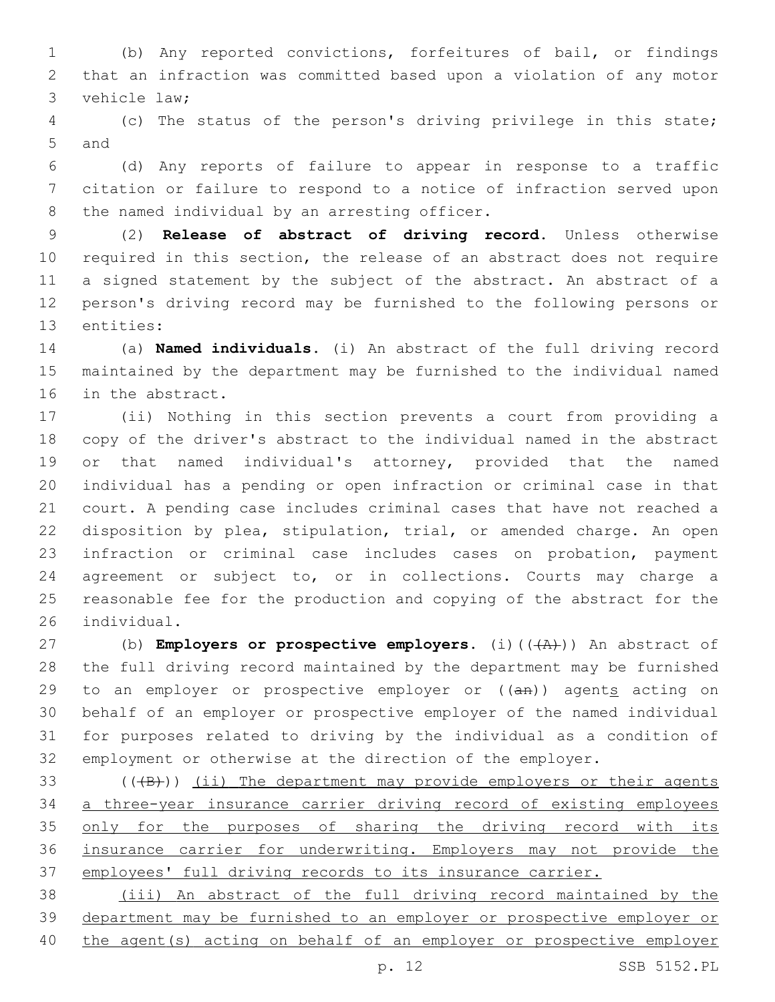(b) Any reported convictions, forfeitures of bail, or findings that an infraction was committed based upon a violation of any motor 3 vehicle law;

 (c) The status of the person's driving privilege in this state; 5 and

 (d) Any reports of failure to appear in response to a traffic citation or failure to respond to a notice of infraction served upon 8 the named individual by an arresting officer.

 (2) **Release of abstract of driving record.** Unless otherwise required in this section, the release of an abstract does not require a signed statement by the subject of the abstract. An abstract of a person's driving record may be furnished to the following persons or 13 entities:

 (a) **Named individuals.** (i) An abstract of the full driving record maintained by the department may be furnished to the individual named 16 in the abstract.

 (ii) Nothing in this section prevents a court from providing a copy of the driver's abstract to the individual named in the abstract or that named individual's attorney, provided that the named individual has a pending or open infraction or criminal case in that court. A pending case includes criminal cases that have not reached a disposition by plea, stipulation, trial, or amended charge. An open infraction or criminal case includes cases on probation, payment agreement or subject to, or in collections. Courts may charge a reasonable fee for the production and copying of the abstract for the 26 individual.

27 (b) **Employers or prospective employers.** (i)(( $\overline{(A)'}$ )) An abstract of the full driving record maintained by the department may be furnished 29 to an employer or prospective employer or  $((a + b))$  agents acting on behalf of an employer or prospective employer of the named individual for purposes related to driving by the individual as a condition of employment or otherwise at the direction of the employer.

 $($  ( $($  $+$ B $)$ )  $($ ii) The department may provide employers or their agents a three-year insurance carrier driving record of existing employees 35 only for the purposes of sharing the driving record with its insurance carrier for underwriting. Employers may not provide the employees' full driving records to its insurance carrier.

 (iii) An abstract of the full driving record maintained by the department may be furnished to an employer or prospective employer or the agent(s) acting on behalf of an employer or prospective employer

p. 12 SSB 5152.PL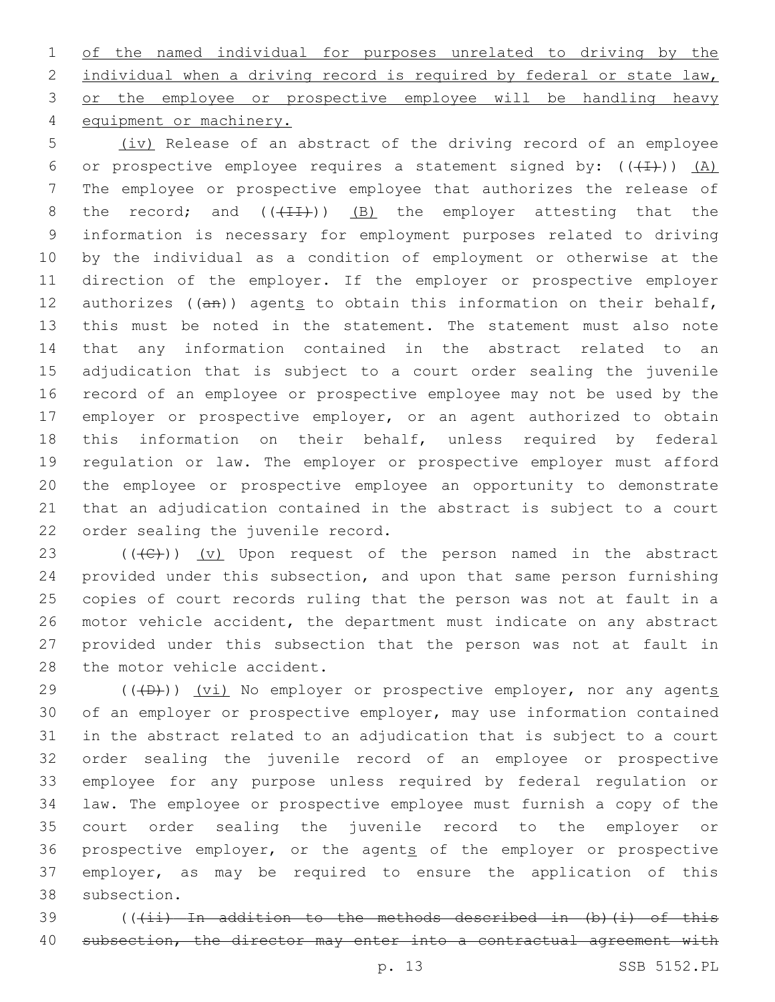of the named individual for purposes unrelated to driving by the 2 individual when a driving record is required by federal or state law, 3 or the employee or prospective employee will be handling heavy 4 equipment or machinery.

 (iv) Release of an abstract of the driving record of an employee 6 or prospective employee requires a statement signed by:  $((+1))$   $(A)$  The employee or prospective employee that authorizes the release of 8 the record; and  $((+11))$  (B) the employer attesting that the information is necessary for employment purposes related to driving by the individual as a condition of employment or otherwise at the direction of the employer. If the employer or prospective employer 12 authorizes  $((an))$  agents to obtain this information on their behalf, this must be noted in the statement. The statement must also note that any information contained in the abstract related to an adjudication that is subject to a court order sealing the juvenile record of an employee or prospective employee may not be used by the employer or prospective employer, or an agent authorized to obtain this information on their behalf, unless required by federal regulation or law. The employer or prospective employer must afford the employee or prospective employee an opportunity to demonstrate that an adjudication contained in the abstract is subject to a court 22 order sealing the juvenile record.

23 ( $(\overline{C})$ ) (v) Upon request of the person named in the abstract provided under this subsection, and upon that same person furnishing copies of court records ruling that the person was not at fault in a motor vehicle accident, the department must indicate on any abstract provided under this subsection that the person was not at fault in 28 the motor vehicle accident.

 $(1 + D)$ ) (vi) No employer or prospective employer, nor any agents of an employer or prospective employer, may use information contained in the abstract related to an adjudication that is subject to a court order sealing the juvenile record of an employee or prospective employee for any purpose unless required by federal regulation or law. The employee or prospective employee must furnish a copy of the court order sealing the juvenile record to the employer or 36 prospective employer, or the agents of the employer or prospective employer, as may be required to ensure the application of this 38 subsection.

39 (((ii) In addition to the methods described in (b)(i) of this 40 subsection, the director may enter into a contractual agreement with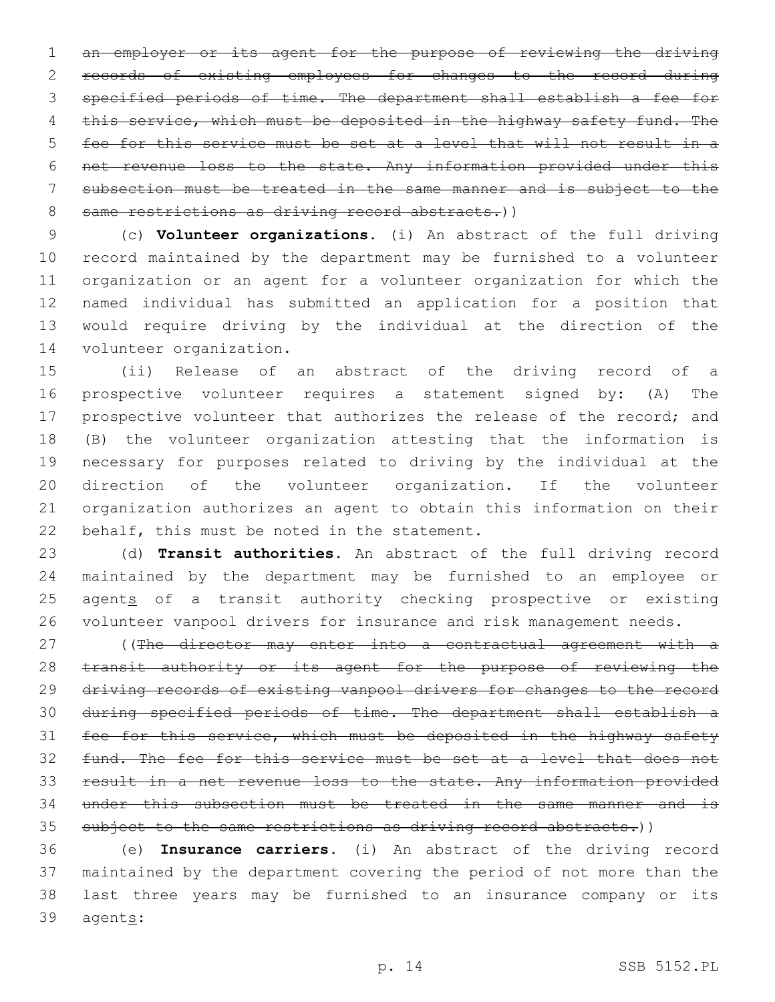an employer or its agent for the purpose of reviewing the driving records of existing employees for changes to the record during specified periods of time. The department shall establish a fee for 4 this service, which must be deposited in the highway safety fund. The fee for this service must be set at a level that will not result in a net revenue loss to the state. Any information provided under this subsection must be treated in the same manner and is subject to the 8 same restrictions as driving record abstracts.))

 (c) **Volunteer organizations.** (i) An abstract of the full driving record maintained by the department may be furnished to a volunteer organization or an agent for a volunteer organization for which the named individual has submitted an application for a position that would require driving by the individual at the direction of the 14 volunteer organization.

 (ii) Release of an abstract of the driving record of a prospective volunteer requires a statement signed by: (A) The prospective volunteer that authorizes the release of the record; and (B) the volunteer organization attesting that the information is necessary for purposes related to driving by the individual at the direction of the volunteer organization. If the volunteer organization authorizes an agent to obtain this information on their 22 behalf, this must be noted in the statement.

 (d) **Transit authorities.** An abstract of the full driving record maintained by the department may be furnished to an employee or 25 agents of a transit authority checking prospective or existing volunteer vanpool drivers for insurance and risk management needs.

27 ((The director may enter into a contractual agreement with a 28 transit authority or its agent for the purpose of reviewing the driving records of existing vanpool drivers for changes to the record during specified periods of time. The department shall establish a 31 fee for this service, which must be deposited in the highway safety fund. The fee for this service must be set at a level that does not result in a net revenue loss to the state. Any information provided under this subsection must be treated in the same manner and is 35 subject to the same restrictions as driving record abstracts.))

 (e) **Insurance carriers.** (i) An abstract of the driving record maintained by the department covering the period of not more than the last three years may be furnished to an insurance company or its 39 agents: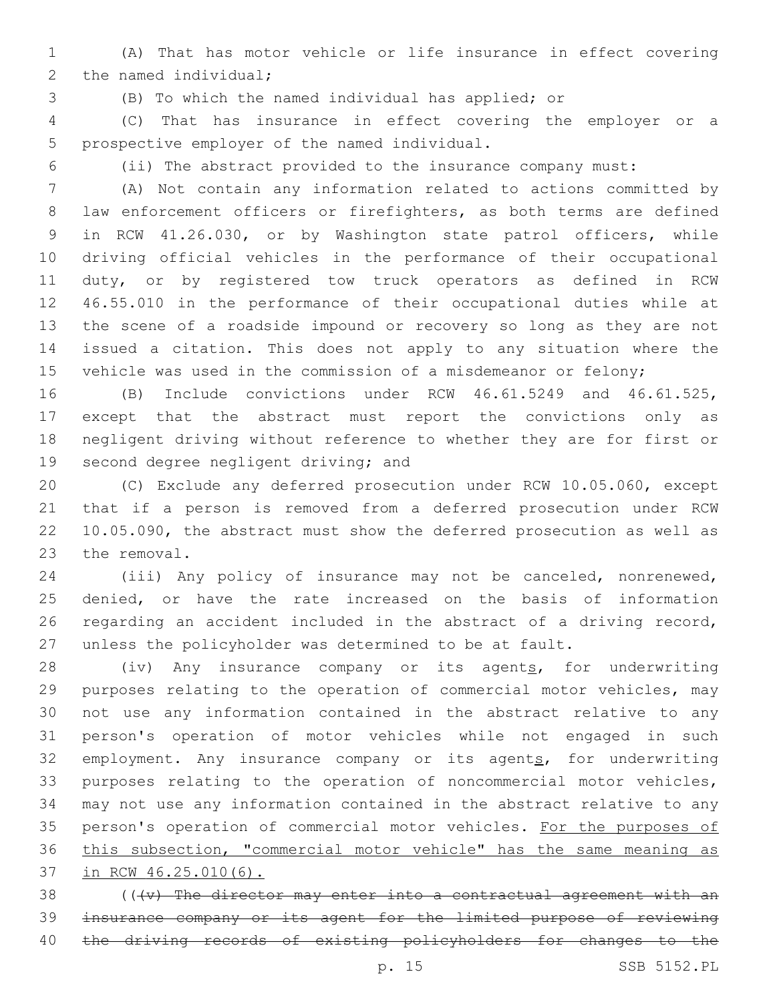(A) That has motor vehicle or life insurance in effect covering 2 the named individual;

(B) To which the named individual has applied; or

 (C) That has insurance in effect covering the employer or a 5 prospective employer of the named individual.

(ii) The abstract provided to the insurance company must:

 (A) Not contain any information related to actions committed by 8 law enforcement officers or firefighters, as both terms are defined in RCW 41.26.030, or by Washington state patrol officers, while driving official vehicles in the performance of their occupational duty, or by registered tow truck operators as defined in RCW 46.55.010 in the performance of their occupational duties while at the scene of a roadside impound or recovery so long as they are not issued a citation. This does not apply to any situation where the 15 vehicle was used in the commission of a misdemeanor or felony;

 (B) Include convictions under RCW 46.61.5249 and 46.61.525, except that the abstract must report the convictions only as negligent driving without reference to whether they are for first or 19 second degree negligent driving; and

 (C) Exclude any deferred prosecution under RCW 10.05.060, except that if a person is removed from a deferred prosecution under RCW 10.05.090, the abstract must show the deferred prosecution as well as 23 the removal.

 (iii) Any policy of insurance may not be canceled, nonrenewed, denied, or have the rate increased on the basis of information regarding an accident included in the abstract of a driving record, unless the policyholder was determined to be at fault.

28 (iv) Any insurance company or its agents, for underwriting purposes relating to the operation of commercial motor vehicles, may not use any information contained in the abstract relative to any person's operation of motor vehicles while not engaged in such 32 employment. Any insurance company or its agents, for underwriting purposes relating to the operation of noncommercial motor vehicles, may not use any information contained in the abstract relative to any 35 person's operation of commercial motor vehicles. For the purposes of this subsection, "commercial motor vehicle" has the same meaning as in RCW 46.25.010(6).

 (( $\{v\}$  The director may enter into a contractual agreement with an insurance company or its agent for the limited purpose of reviewing 40 the driving records of existing policyholders for changes to the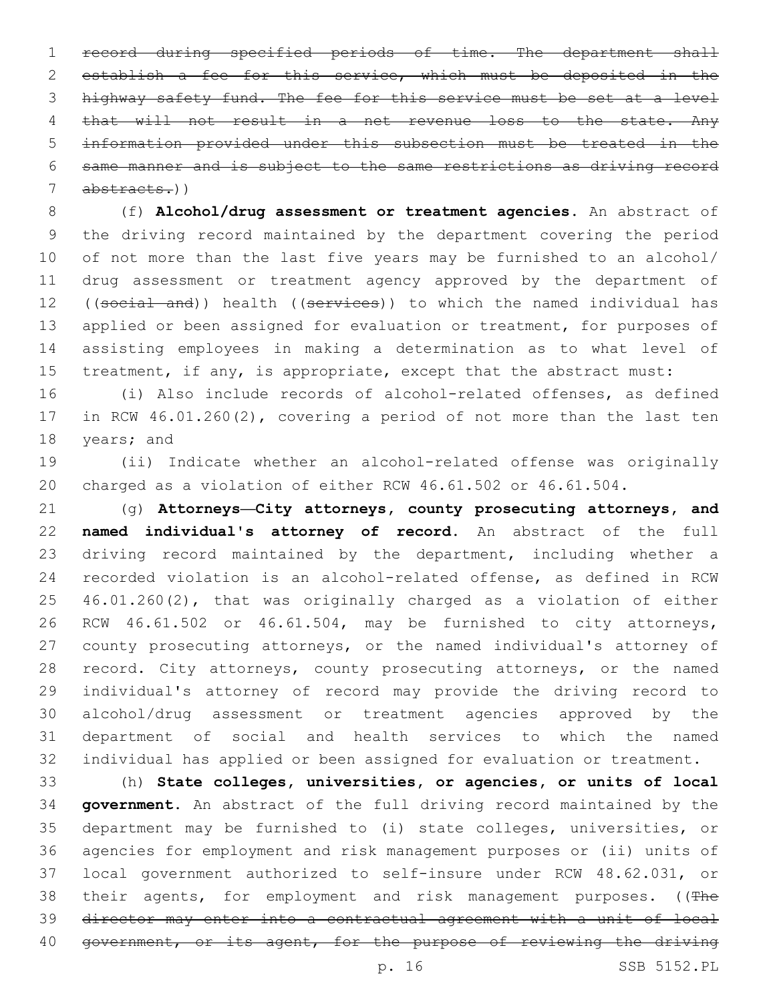record during specified periods of time. The department shall establish a fee for this service, which must be deposited in the highway safety fund. The fee for this service must be set at a level 4 that will not result in a net revenue loss to the state. Any information provided under this subsection must be treated in the same manner and is subject to the same restrictions as driving record abstracts.))

 (f) **Alcohol/drug assessment or treatment agencies.** An abstract of the driving record maintained by the department covering the period of not more than the last five years may be furnished to an alcohol/ drug assessment or treatment agency approved by the department of 12 ((social and)) health ((services)) to which the named individual has 13 applied or been assigned for evaluation or treatment, for purposes of assisting employees in making a determination as to what level of 15 treatment, if any, is appropriate, except that the abstract must:

 (i) Also include records of alcohol-related offenses, as defined in RCW 46.01.260(2), covering a period of not more than the last ten 18 years; and

 (ii) Indicate whether an alcohol-related offense was originally charged as a violation of either RCW 46.61.502 or 46.61.504.

 (g) **Attorneys—City attorneys, county prosecuting attorneys, and named individual's attorney of record.** An abstract of the full 23 driving record maintained by the department, including whether a recorded violation is an alcohol-related offense, as defined in RCW 46.01.260(2), that was originally charged as a violation of either RCW 46.61.502 or 46.61.504, may be furnished to city attorneys, county prosecuting attorneys, or the named individual's attorney of 28 record. City attorneys, county prosecuting attorneys, or the named individual's attorney of record may provide the driving record to alcohol/drug assessment or treatment agencies approved by the department of social and health services to which the named individual has applied or been assigned for evaluation or treatment.

 (h) **State colleges, universities, or agencies, or units of local government.** An abstract of the full driving record maintained by the department may be furnished to (i) state colleges, universities, or agencies for employment and risk management purposes or (ii) units of local government authorized to self-insure under RCW 48.62.031, or 38 their agents, for employment and risk management purposes. ((The director may enter into a contractual agreement with a unit of local 40 government, or its agent, for the purpose of reviewing the driving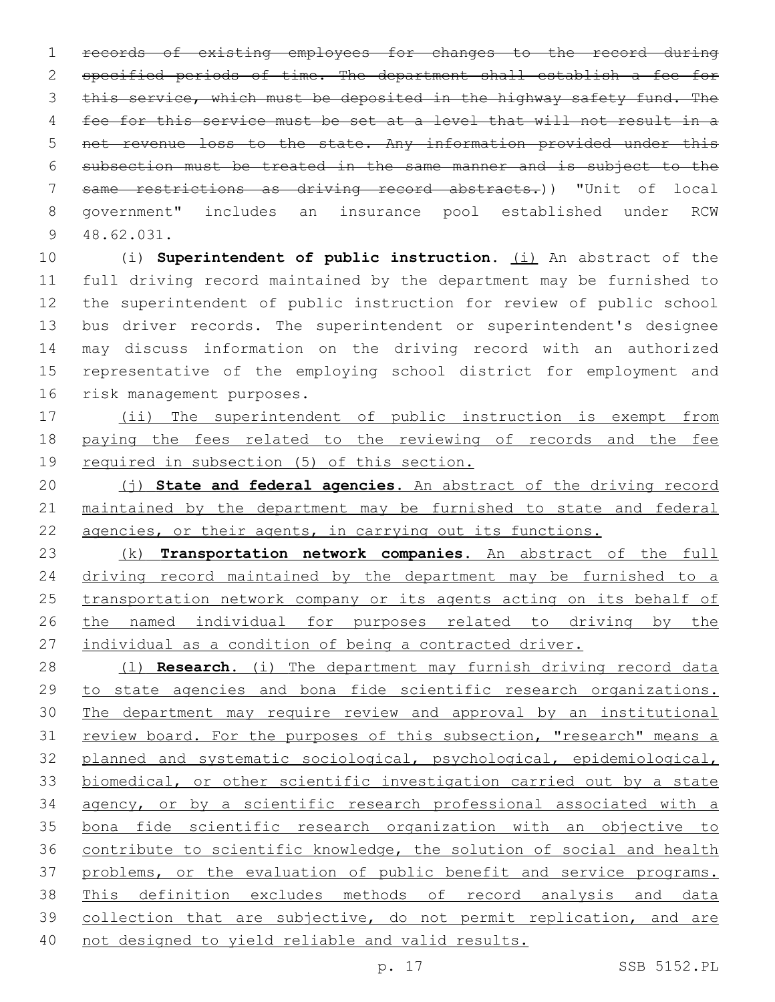records of existing employees for changes to the record during specified periods of time. The department shall establish a fee for 3 this service, which must be deposited in the highway safety fund. The fee for this service must be set at a level that will not result in a net revenue loss to the state. Any information provided under this subsection must be treated in the same manner and is subject to the same restrictions as driving record abstracts.)) "Unit of local government" includes an insurance pool established under RCW 48.62.031.9

 (i) **Superintendent of public instruction.** (i) An abstract of the full driving record maintained by the department may be furnished to the superintendent of public instruction for review of public school bus driver records. The superintendent or superintendent's designee may discuss information on the driving record with an authorized representative of the employing school district for employment and 16 risk management purposes.

 (ii) The superintendent of public instruction is exempt from paying the fees related to the reviewing of records and the fee required in subsection (5) of this section.

 (j) **State and federal agencies.** An abstract of the driving record maintained by the department may be furnished to state and federal 22 agencies, or their agents, in carrying out its functions.

 (k) **Transportation network companies.** An abstract of the full 24 driving record maintained by the department may be furnished to a transportation network company or its agents acting on its behalf of the named individual for purposes related to driving by the individual as a condition of being a contracted driver.

 (l) **Research.** (i) The department may furnish driving record data to state agencies and bona fide scientific research organizations. The department may require review and approval by an institutional 31 review board. For the purposes of this subsection, "research" means a planned and systematic sociological, psychological, epidemiological, biomedical, or other scientific investigation carried out by a state agency, or by a scientific research professional associated with a bona fide scientific research organization with an objective to contribute to scientific knowledge, the solution of social and health problems, or the evaluation of public benefit and service programs. This definition excludes methods of record analysis and data collection that are subjective, do not permit replication, and are not designed to yield reliable and valid results.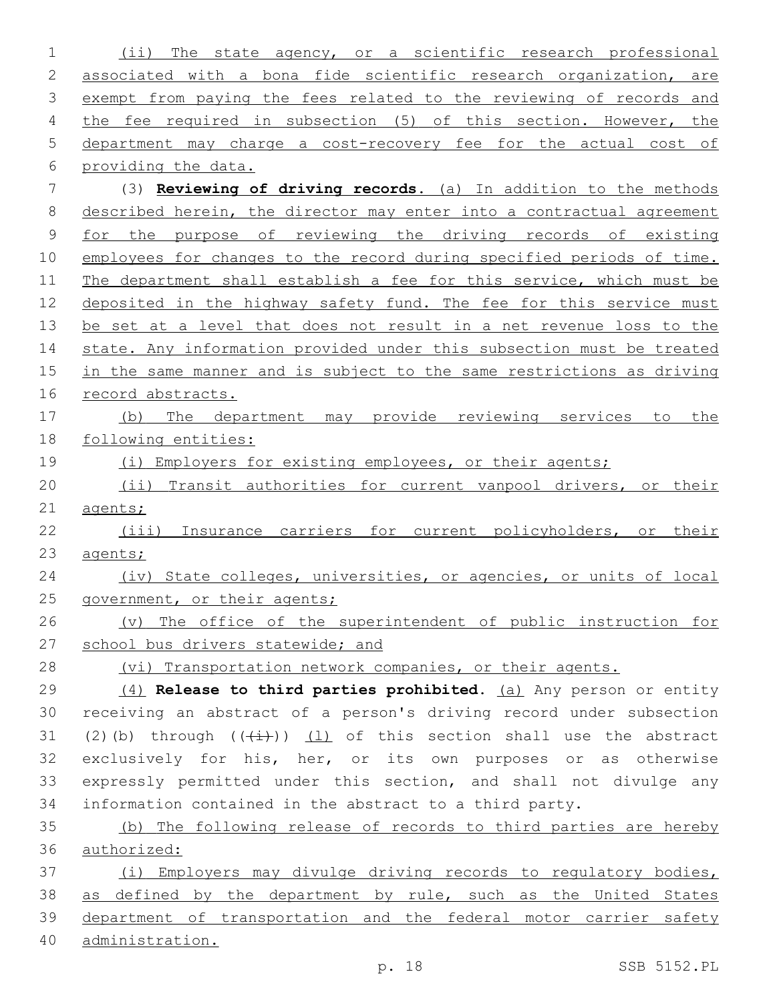(ii) The state agency, or a scientific research professional 2 associated with a bona fide scientific research organization, are 3 exempt from paying the fees related to the reviewing of records and the fee required in subsection (5) of this section. However, the department may charge a cost-recovery fee for the actual cost of providing the data. (3) **Reviewing of driving records.** (a) In addition to the methods described herein, the director may enter into a contractual agreement for the purpose of reviewing the driving records of existing 10 employees for changes to the record during specified periods of time. The department shall establish a fee for this service, which must be deposited in the highway safety fund. The fee for this service must be set at a level that does not result in a net revenue loss to the 14 state. Any information provided under this subsection must be treated 15 in the same manner and is subject to the same restrictions as driving record abstracts. (b) The department may provide reviewing services to the following entities: 19 (i) Employers for existing employees, or their agents; (ii) Transit authorities for current vanpool drivers, or their 21 agents; (iii) Insurance carriers for current policyholders, or their agents; (iv) State colleges, universities, or agencies, or units of local 25 government, or their agents; (v) The office of the superintendent of public instruction for 27 school bus drivers statewide; and (vi) Transportation network companies, or their agents. (4) **Release to third parties prohibited.** (a) Any person or entity receiving an abstract of a person's driving record under subsection 31 (2)(b) through  $((+i+))$  (1) of this section shall use the abstract exclusively for his, her, or its own purposes or as otherwise expressly permitted under this section, and shall not divulge any information contained in the abstract to a third party. (b) The following release of records to third parties are hereby authorized: (i) Employers may divulge driving records to regulatory bodies, 38 as defined by the department by rule, such as the United States department of transportation and the federal motor carrier safety administration.